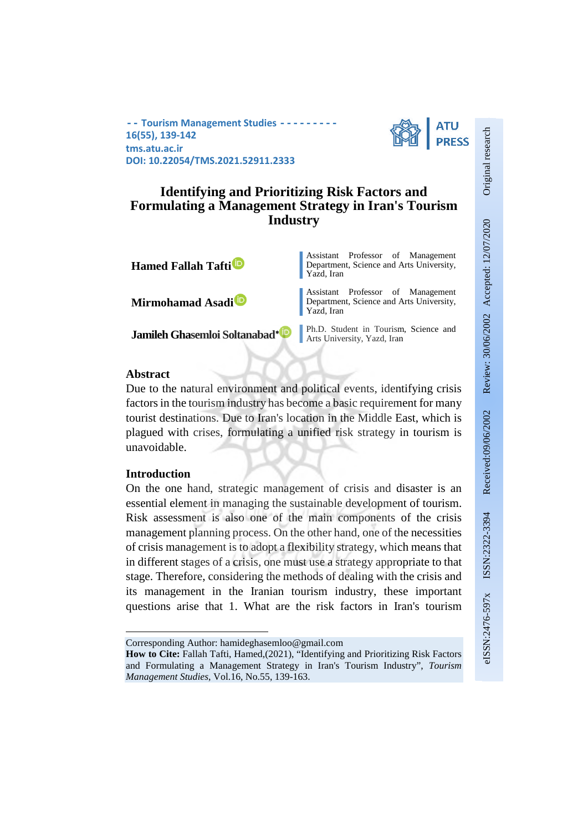**-- Tourism Management Studies --------- 16(55), 139-142 tms.atu.ac.ir DOI: 10.22054/TMS.2021.52911.2333**



## **Identifying and Prioritizing Risk Factors and Formulating a Management Strategy in Iran's Tourism Industry**

**Hamed Fallah Tafti** 

**Mirmohamad Asadi** 

Assistant Professor of Management Department, Science and Arts University, Yazd, Iran

Assistant Professor of Management Department, Science and Arts University, Yazd, Iran

**Jamileh Ghasemloi Soltanabad<sup>∗</sup> Ph.D.** Student in Tourism, Science and Arts University, Yazd, Iran

## **Abstract**

Due to the natural environment and political events, identifying crisis factors in the tourism industry has become a basic requirement for many tourist destinations. Due to Iran's location in the Middle East, which is plagued with crises, formulating a unified risk strategy in tourism is unavoidable.

## **Introduction**

**.** 

On the one hand, strategic management of crisis and disaster is an essential element in managing the sustainable development of tourism. Risk assessment is also one of the main components of the crisis management planning process. On the other hand, one of the necessities of crisis management is to adopt a flexibility strategy, which means that in different stages of a crisis, one must use a strategy appropriate to that stage. Therefore, considering the methods of dealing with the crisis and its management in the Iranian tourism industry, these important questions arise that 1. What are the risk factors in Iran's tourism

Corresponding Author: hamideghasemloo@gmail.com

**How to Cite:** Fallah Tafti, Hamed,(2021), "Identifying and Prioritizing Risk Factors and Formulating a Management Strategy in Iran's Tourism Industry", *Tourism Management Studies*, Vol.16, No.55, 139-163.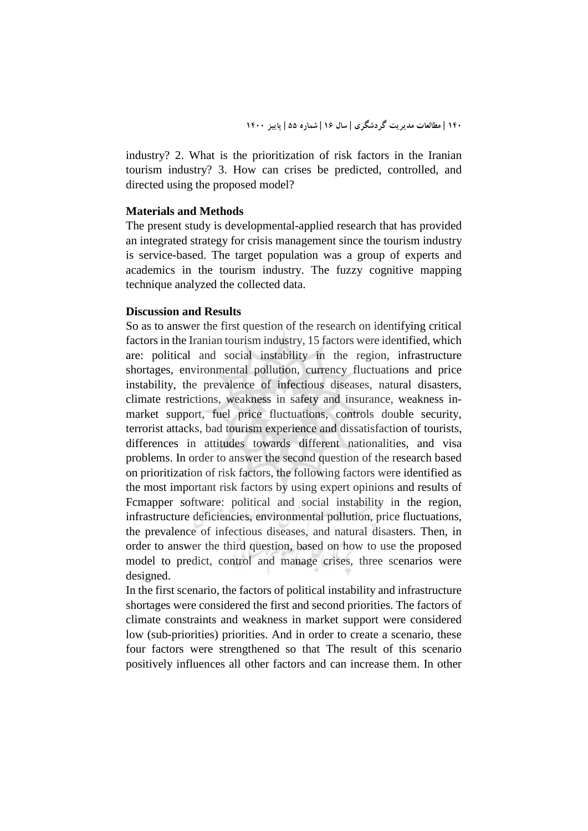industry? 2. What is the prioritization of risk factors in the Iranian tourism industry? 3. How can crises be predicted, controlled, and directed using the proposed model?

## **Materials and Methods**

The present study is developmental-applied research that has provided an integrated strategy for crisis management since the tourism industry is service-based. The target population was a group of experts and academics in the tourism industry. The fuzzy cognitive mapping technique analyzed the collected data.

## **Discussion and Results**

So as to answer the first question of the research on identifying critical factors in the Iranian tourism industry, 15 factors were identified, which are: political and social instability in the region, infrastructure shortages, environmental pollution, currency fluctuations and price instability, the prevalence of infectious diseases, natural disasters, climate restrictions, weakness in safety and insurance, weakness inmarket support, fuel price fluctuations, controls double security, terrorist attacks, bad tourism experience and dissatisfaction of tourists, differences in attitudes towards different nationalities, and visa problems. In order to answer the second question of the research based on prioritization of risk factors, the following factors were identified as the most important risk factors by using expert opinions and results of Fcmapper software: political and social instability in the region, infrastructure deficiencies, environmental pollution, price fluctuations, the prevalence of infectious diseases, and natural disasters. Then, in order to answer the third question, based on how to use the proposed model to predict, control and manage crises, three scenarios were designed.

In the first scenario, the factors of political instability and infrastructure shortages were considered the first and second priorities. The factors of climate constraints and weakness in market support were considered low (sub-priorities) priorities. And in order to create a scenario, these four factors were strengthened so that The result of this scenario positively influences all other factors and can increase them. In other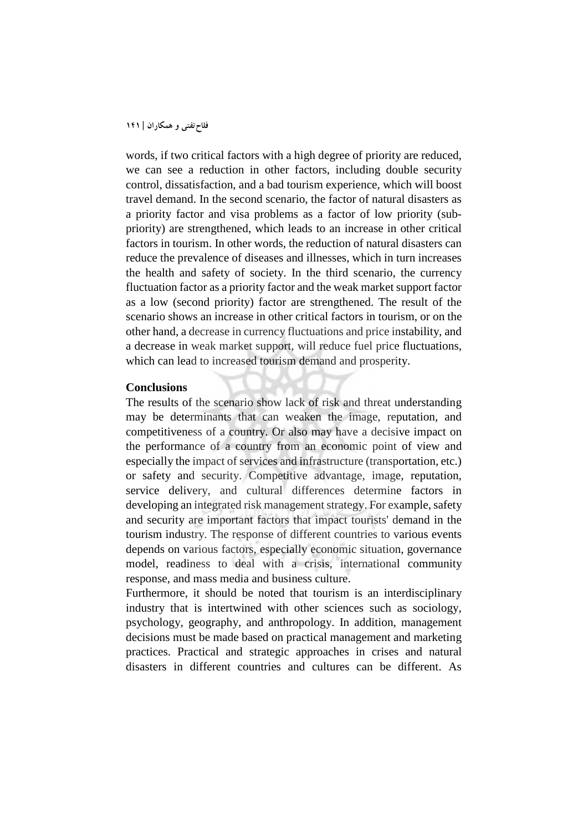## **فلاحتفتی و همکاران | 141**

words, if two critical factors with a high degree of priority are reduced, we can see a reduction in other factors, including double security control, dissatisfaction, and a bad tourism experience, which will boost travel demand. In the second scenario, the factor of natural disasters as a priority factor and visa problems as a factor of low priority (subpriority) are strengthened, which leads to an increase in other critical factors in tourism. In other words, the reduction of natural disasters can reduce the prevalence of diseases and illnesses, which in turn increases the health and safety of society. In the third scenario, the currency fluctuation factor as a priority factor and the weak market support factor as a low (second priority) factor are strengthened. The result of the scenario shows an increase in other critical factors in tourism, or on the other hand, a decrease in currency fluctuations and price instability, and a decrease in weak market support, will reduce fuel price fluctuations, which can lead to increased tourism demand and prosperity.

## **Conclusions**

The results of the scenario show lack of risk and threat understanding may be determinants that can weaken the image, reputation, and competitiveness of a country. Or also may have a decisive impact on the performance of a country from an economic point of view and especially the impact of services and infrastructure (transportation, etc.) or safety and security. Competitive advantage, image, reputation, service delivery, and cultural differences determine factors in developing an integrated risk management strategy. For example, safety and security are important factors that impact tourists' demand in the tourism industry. The response of different countries to various events depends on various factors, especially economic situation, governance model, readiness to deal with a crisis, international community response, and mass media and business culture.

Furthermore, it should be noted that tourism is an interdisciplinary industry that is intertwined with other sciences such as sociology, psychology, geography, and anthropology. In addition, management decisions must be made based on practical management and marketing practices. Practical and strategic approaches in crises and natural disasters in different countries and cultures can be different. As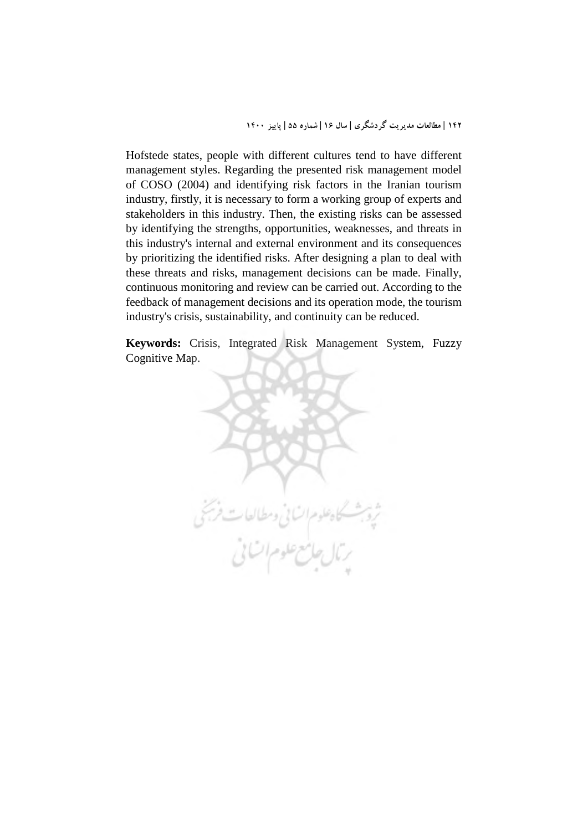Hofstede states, people with different cultures tend to have different management styles. Regarding the presented risk management model of COSO (2004) and identifying risk factors in the Iranian tourism industry, firstly, it is necessary to form a working group of experts and stakeholders in this industry. Then, the existing risks can be assessed by identifying the strengths, opportunities, weaknesses, and threats in this industry's internal and external environment and its consequences by prioritizing the identified risks. After designing a plan to deal with these threats and risks, management decisions can be made. Finally, continuous monitoring and review can be carried out. According to the feedback of management decisions and its operation mode, the tourism industry's crisis, sustainability, and continuity can be reduced.

**Keywords:** Crisis, Integrated Risk Management System, Fuzzy Cognitive Map.

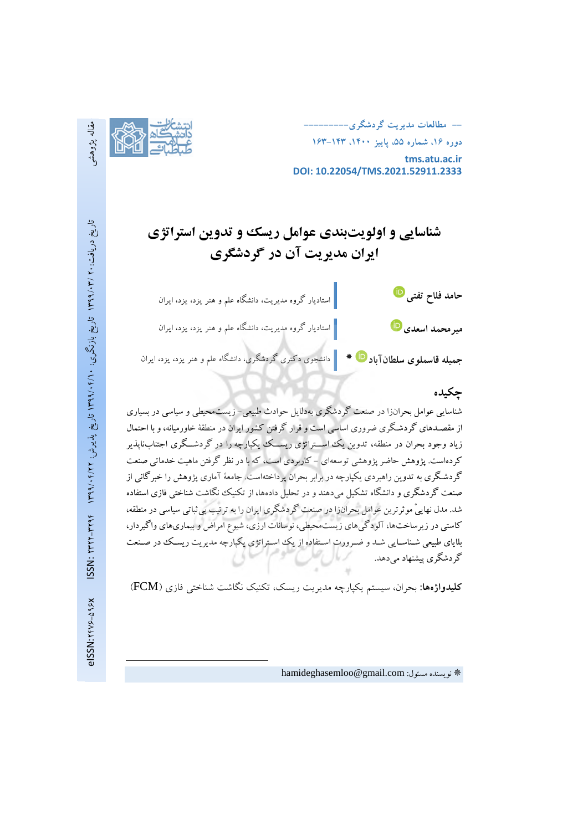**-- مطالعات مدیریت گردشگري--------- دوره ،16 شماره ،55 پاییز ،1400 143 -163 tms.atu.ac.ir DOI: 10.22054/TMS.2021.52911.2333**

ىقالە پژوهش

# **شناسایی و اولویتبندي عوامل ریسک و تدوین استراتژي ایران مدیریت آن در گردشگري**



## **چکیده**

شناسایی عوامل بحرانزا در صنعت گردشگري بهدلایل حوادث طبیعی - زیستمحیطی و سیاسی رد بسیاري از مقصـدهاي گردشـگري ضروري اساسي است و قرار گرفتن کشور ايران در منطقهٔ خاورميانه، و با احتمال زیاد وجود بحران در منطقه، تدوین یک اســـتراتژي ریســـک یکپارچه را در گردشـــگري اجتنابناپذیر کردهاست. پژوهش حاضرپژوهشی توسعهاي - کاربردي است ، کهبا درنظر گرفتن ماهیت خدماتی صنعت گردشـگری به تدوین راهبردی یکپارچه در برابر بحران پرداختهاست. جامعۀ آماری پژوهش را خبرگانی از صنعت گردشگري و دانشگاه تشکیل میدهند و در تحلیل دادهها، از تکنیک نگاشت شناختی ف ازي استفاده شد. مدل نهاییْ موثرترین عوامل بحرانزادر صنعت گردشگري ایران را به ترتیب بیثباتی سیاسی در منطقه، کاستی در زیرساختها، آلودگیهاي زیستمحیطی، نوسانات ارزي، شیوع امراض و بیماريهاي واگیردار، بلایاي طبیعی شـناسـایی شـد و ضـرورت اسـتفاده از یک اسـتراتژي یکپارچه مدیریت ریسـک در صـنعت گر دشگري پيشنهاد مي دهد.

**کلیدواژهها:** بحران، سیستم یکپارچه مدیریت ریسک، تکنیک نگاشت شناختی فازي (FCM(

**.**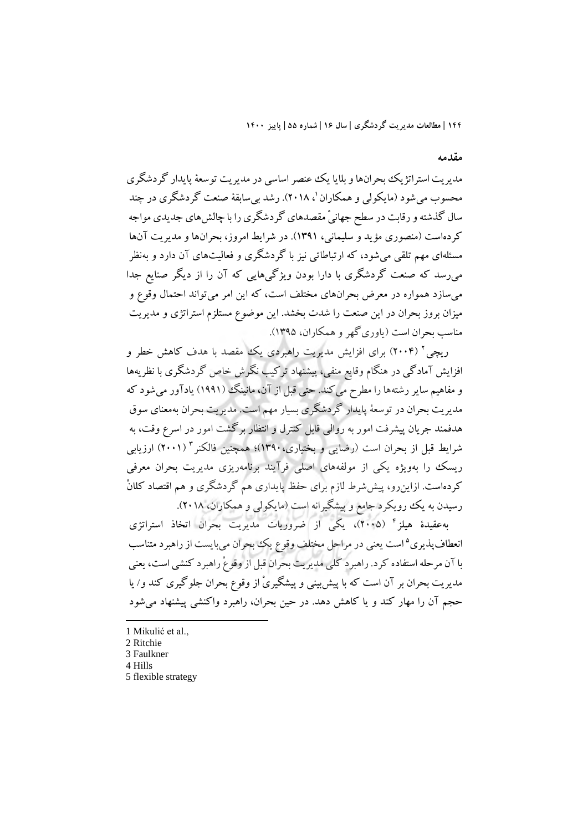## **مقدمه**

مدیریت استراتژیک بحرانها و بلایا یک عنصر اساسی در مدیریت توسعۀ پایدار گردشگري محسوب میشود (مایکولی و همکاران '، ۲۰۱۸). رشد بیسابقۀ صنعت گردشگری در چند سال گذشته و رقابت در سطح جهانیْ مقصدهای گردشگری را با چالش های جدیدی مواجه کردهاست (منصوري مؤید و سلیمانی، 1391). در شرایط امروز، بحرانها و مدیریت آنها مسئلهاي مهم تلقی میشود، که ارتباطاتی نیز با گردشگري و فعالیتهاي آن دارد و بهنظر میرسد که صنعت گردشگري با دارا بودن ویژگیهایی که آن را از دیگر صنایع جدا میسازد همواره در معرض بحرانهاي مختلف است، که این امر میتواند احتمال وقوع و میزان بروز بحران در این صنعت را شدت بخشد. این موضوع مستلزم استراتژي و مدیریت مناسب بحران است (یاوريگهر و همکاران، 1395).

ریچی ٔ (۲۰۰۴) برای افزایش مدیریت راهبردی یک مقصد با هدف کاهش خطر و افزایش آمادگی در هنگام وقایع منفی، پیشنهاد ترکیب نگرش خاص گردشگري با نظریهها و مفاهیم سایر رشتهها را مطرح میکند. حتی قبل از آن، مانینگ (۱۹۹۱) یادآور می شود که مدیریت بحران در توسعهٔ پایدار گردشگري بسیار مهم است. مدیریت بحران بهمعناي سوق هدفمند جریان پیشرفت امور به روالی قابل کنترل و انتظار برگشت امور در اسرع وقت، به شرایط قبل از بحران است (رضایی و بختیاری،۱۳۹۰)؛ همچنین فالکنر " (۲۰۰۱) ارزیابی ریسک را بهویژه یکی از مولفههاي اصلی فرآیند برنامهریزي مدیریت بحران معرفی کرده است. ازاینرو ، پیششرط لازم براي حفظ پایداري هم گردشگري و هم اقتصاد کلانْ رسیدن به یک رویکرد جامع و پیشگیرانه است (مایکولی و همکاران، ۲۰۱۸).

بهعقیدهٔ هیلز <sup>۴</sup> (۲۰۰۵)، یکی از ضروریات مدیریت بحران اتخاذ استراتژی انعطاف پذیری<sup>۵</sup> است یعنی در مراحل مختلف وقوع یک بحران میبایست از راهبرد متناسب باآن مرحلهاستفاده کرد. راهبرد کلی مدیریت بحران قبل از وقوعْراهبرد کنشی ،است یعنی مدیریت بحران بر آن است که با پیشبینی و پیشگیريْ از وقوع بحران جلوگیري کند و/ یا حجم آن را مهار کند و یا کاهش دهد. در حین بحران، راهبرد واکنشی پیشنهاد میشود

1

5 flexible strategy

<sup>1</sup> Mikulić et al.,

<sup>2</sup> Ritchie

<sup>3</sup> Faulkner

<sup>4</sup> Hills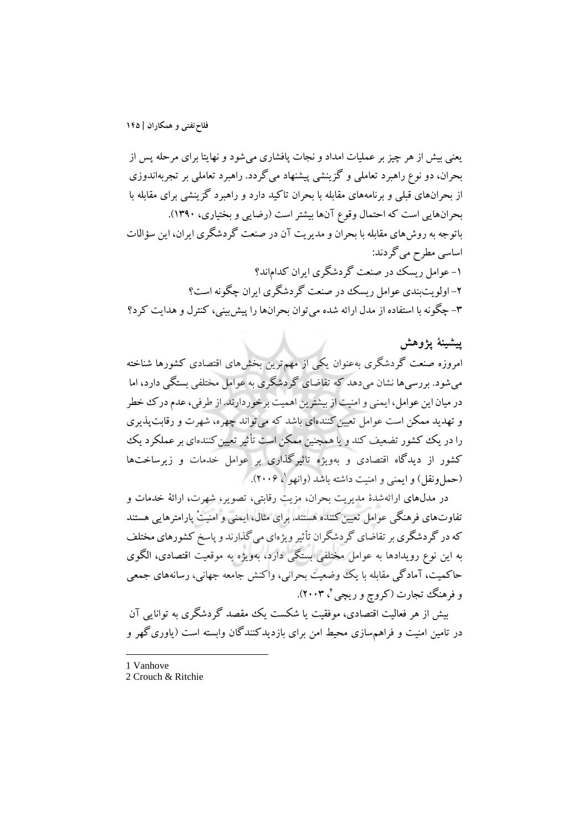یعنی بیش از هر چیزبر عملیات امداد و نجات پافشاري میشود و نهایتا براي مرحله پس از بحران، دو نوع راهبرد تعاملی و گزینشی پیشنهاد میگردد. راهبرد تعاملی بر تجربهاندوزي از بحرانهاي قبلی و برنامههاي مقابله با بحران تاکید دارد و راهبرد گزینشی براي مقابله با بحرانهایی است که احتمال وقوع آنها بیشتراست (رضایی و بختیاري، 1390). باتوجه به روشهاي مقابله با بحران و مدیریت آن در صنعت گردشگري ایران، این سؤالات اساسی مطرح میگردند: 1- عوامل ریسک در صنعت گردشگري ایران کداماند؟ 2- اولویتبندي عوامل ریسک در صنعت گردشگري ایران چگونه است؟ 3- چگونه با استفاده از مدل ارائه شده میتوان بحرانها را پیشبینی، کنترل و هدایت کرد؟

## **پیشینۀ پژوهش**

امروزه صنعت گردشگري بهعنوان یکی از مهمترین بخشهاي اقتصادي کشورها شناخته میشود. بررسیها نشان میدهد که تقاضاي گردشگري به عوامل مختلفی بستگی دارد، اما در میان این عوامل، ایمنی وامنیت ازبیشترین اهمیت برخوردارند. از طرفی ،عدم درك خطر و تهدید ممکن است عوامل تعیین کنندهای باشد که می تواند چهره، شهرت و رقابت پذیری را در یک کشور تضعیف کند و یا همچنین ممکن است تأثیر تعیین کنندهای بر عملکرد یک کشور از دیدگاه اقتصادي و به ویژه تاثیرگذاري بر عوامل خدمات و زیرساخت ها (حمل ونقل) و ایمنی و امنیت داشته باشد (وانهو '، ۲۰۰۶).

در مدل،های ارائهشدهٔ مدیریت بحران، مزیت رقابتی، تصویر، شهرت، ارائهٔ خدمات و تفاوتهاي فرهنگی عوامل تعیین کننده هستند. براي مثال، ایمنی و امنیتْ پارامترهایی هستند که در گردشگري بر تقاضاي گردشگران تأثير ويژهاي مي گذارند و پاسخ کشورهاي مختلف به این نوع رویدادها به عوامل مختلفی بستگی دارد، بهویژه به موقعیت اقتصادي، الگوي حاکمیت، آمادگی مقابله با یک وضعیت بحرانی، واکنش جامعه جهانی، رسانههاي جمعی و فرهنگ تجارت (کروچ و ریچی <sup>۲</sup>، ۲۰۰۳).

بیش از هر فعالیت اقتصادي، موفقیت یا شکست یک مقصد گردشگري به توانایی آن در تامین امنیت و فراهم سازي محیط امن براي بازدیدکنندگان وابسته است (یاوري گهر و

1 Vanhove

**.** 

2 Crouch & Ritchie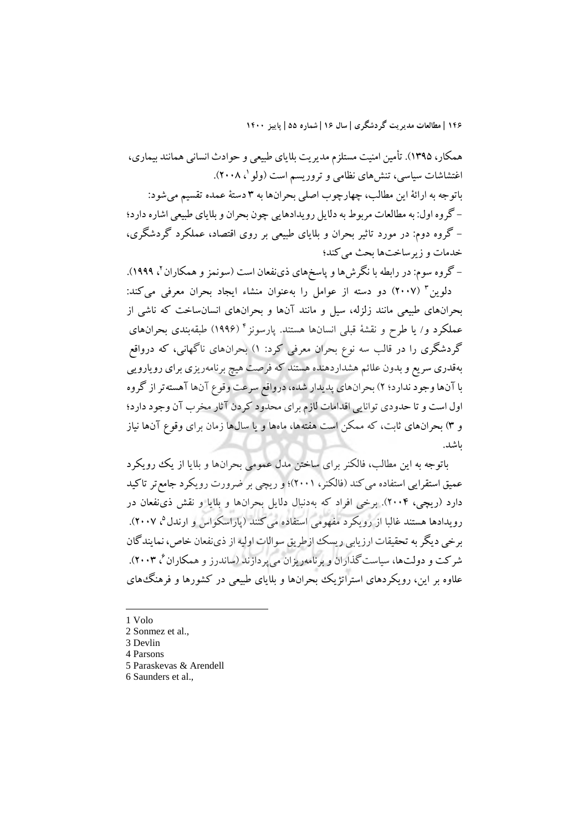همکار، 1395). تأمین امنیت مستلزممدیریت بلایاي طبیعی و حوادث انسانی همانند بیماري، اغتشاشات سیاسی، تنشهای نظامی و تروریسم است (ولو '، ۲۰۰۸). باتوجه به ارائهٔ این مطالب، چهارچوب اصلی بحرانها به ۳ دستهٔ عمده تقسیم می شود: - گروه اول: به مطالعات مربوط به دلایل رویدادهایی چون بحران و بلایاي طبیعی اشاره دارد؛ – گروه دوم: در مورد تاثیر بحران و بلایاي طبیعی بر روي اقتصاد، عملکرد گردشگري، خدمات و زیرساختها بحث میکند؛

، 1999). 2 - گروه سوم: در رابطه با نگرشها و پاسخهاي ذينفعان است (سونمز و همکاران دلوین " (۲۰۰۷) دو دسته از عوامل را بهعنوان منشاء ایجاد بحران معرفی میکند: بحرانهای طبیعی مانند زلزله، سیل و مانند آنها و بحرانهای انسانساخت که ناشی از عملکرد و/ یا طرح و نقشهٔ قبلی انسانها هستند. پارسونز ° (۱۹۹۶) طبقهبندی بحرانهای گردشگری را در قالب سه نوع بحران معرفی کرد: ۱) بحرانهای ناگهانی، که درواقع بهقدري سریع و بدون علائم هشداردهنده هستند که فرصت هیچ برنامهریزي براي رویارویی با آنها وجود ندارد؛ ۲) بحرانهاي پدیدار شده، درواقع سرعت وقوع آنها آهستهتر از گروه اول است و تا حدودي توانایی اقدامات لازم براي محدود كردن آثار مخرب آن وجود دارد؛ و )3 بحرانهاي ثابت، که ممکن است هفتهها، هاماه و یا هاسال زمان براي وقوع آنها نیاز باشد .

باتوجه به این مطالب، فالکنر براي ساختن مدل عمومی بحرانها و بلایا از یک رویکرد عمیق استقرایی استفاده میکند (فالکنر، 2001 ؛) و ریچی بر ضرورت رویکرد جامعترتاکید دارد (ریچی، 2004). برخی افراد که بهدنبال دلایل بحرانها و بلایا و نقش ذي نفعان در ، 2007). <sup>5</sup> رویدادها هستند غالبا از رویکرد مفهومی استفاده میکنند (پاراسکواس و ارندل برخی دیگر به تحقیقات ارزیابی ریسک ازطریق سوالات اولیه از ذي نفعان خاص، نمایندگان شرکت و دولتها، سیاست گذاران و برنامهریزان می پر دازند (ساندرز و همکاران ۴ ، ۲۰۰۳). علاوه بر این، رویکردهاي استراتژیک بحرانها و بلایاي طبیعی در کشورها و فرهنگهاي

1 Volo

-

- 2 Sonmez et al.,
- 3 Devlin
- 4 Parsons
- 5 Paraskevas & Arendell
- 6 Saunders et al.,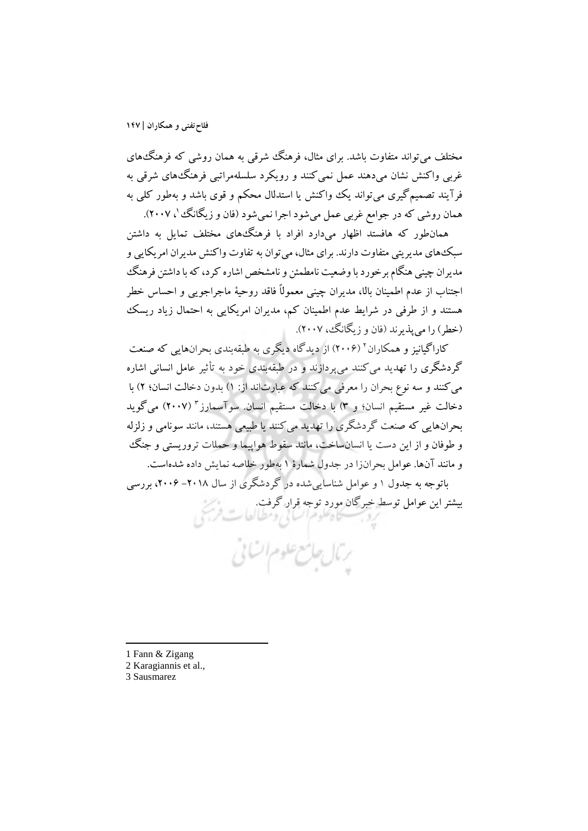مختلف میتواند متفاوت باشد. براي مثال ، فرهنگ شرقی به همان روشی که فرهنگهاي غربی واکنش نشان میدهند عمل نمی کنند و رویکرد سلسلهمراتبی فرهنگءای شرقی به فرآیند تصمیمگیری میتواند یک واکنش یا استدلال محکم و قوی باشد و بهطور کلی به همان روشی که در جوامع غربی عمل میشود اجرا نمیشود (فان و زیگانگ '، ۲۰۰۷).

همانطور که هافستد اظهار میدارد افراد با فرهنگهاي مختلف تمایل به داشتن سبکهاي مدیریتی متفاوت دارند. براي مثال ، میتوان به تفاوت واکنش مدیران امریکایی و مدیران چینی هنگام برخورد با وضعیت نامطمئن و نامشخص اشاره کرد ، که با داشتن فرهنگ اجتناب از عدم اطمینان بالا، مدیران چینی معمولاً فاقد روحیۀ ماجراجویی و احساس خطر هستند و از طرفی در شرایط عدم اطمینان کم، مدیران امریکایی به احتمال زیاد ریسک (خطر) را میپذیرند (فان و زیگانگ، 2007).

کاراگیانیز و همکاران ۲۰۰۶) از دیدگاه دیگری به طبقهبندی بحرانهایی که صنعت گردشگری را تهدید میکنند میپردازند و در طبقهبندی خود به تأثیر عامل انسانی اشاره می کنند و سه نوع بحران را معرفی می کنند که عبارتاند از: ۱) بدون دخالت انسان؛ ۲) با دخالت غیر مستقیم انسان؛ و ۳) با دخالت مستقیم انسان. سوآسمارز " (۲۰۰۷) میگوید بحرانهایی که صنعت گردشگري را تهدید میکنند یا طبیعی هستند، مانند سونامی و زلزله و طوفان و از این دست یا انسان $\omega$ اخت، مانند سقوط هواپیما و حملات تروریستی و جنگ و مانند آنها. عوامل بحرانزا در جدول شمارهٔ ۱ بهطور خلاصه نمایش داده شدهاست.

باتوجه به جدول 1 و عوامل شناساییشده در گردشگري از سال 2018 - ،2006 بررسی بیشتر این عوامل توسط خبرگان مورد توجه قرار گرفت.

رئال جامع علوم اتناني

- 1 Fann & Zigang
- 2 Karagiannis et al.,
- 3 Sausmarez

1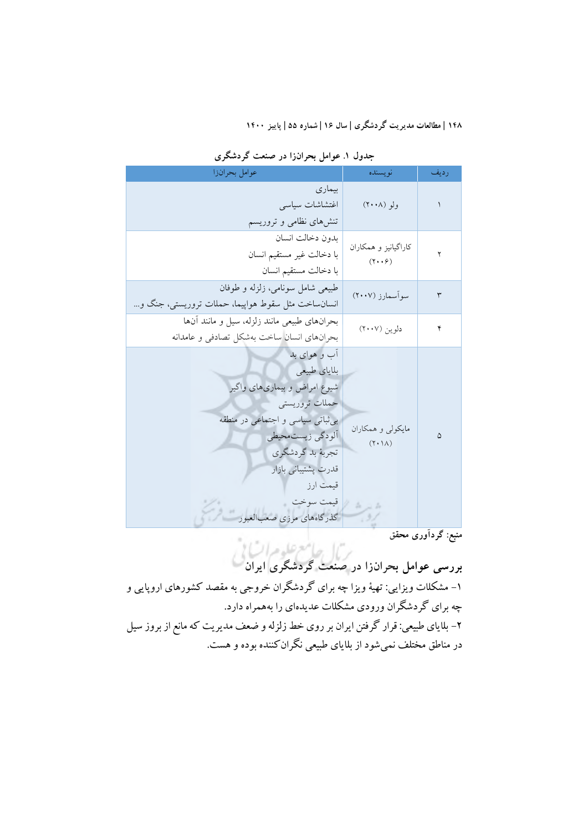| عوامل بحرانزا                                                                                                                                                                                                                            | نويسنده                                            | رديف |
|------------------------------------------------------------------------------------------------------------------------------------------------------------------------------------------------------------------------------------------|----------------------------------------------------|------|
| بيماري<br>اغتشاشات سياسي<br>تنشهای نظامی و تروریسم                                                                                                                                                                                       | ولو (۲۰۰۸)                                         |      |
| بدون دخالت انسان<br>با دخالت غير مستقيم انسان<br>با دخالت مستقيم انسان                                                                                                                                                                   | کاراگیانیز و همکاران<br>$(7 \cdot \cdot \epsilon)$ | ۲    |
| طبیعی شامل سونامی، زلزله و طوفان<br>انسانساخت مثل سقوط هواپيما، حملات تروريستي، جنگ و                                                                                                                                                    | سوأسمارز (٢٠٠٧)                                    | ٣    |
| بحرانهای طبیعی مانند زلزله، سیل و مانند آنها<br>بحرانهای انسان ساخت بهشکل تصادفی و عامدانه                                                                                                                                               | دلوين (٢٠٠٧)                                       | ۴    |
| آب و هواي بد<br>بلاياي طبيعي<br>شیوع امراض و بیماریهای واگیر<br>حملات تروريستي<br>بی ثباتی سیاسی و اجتماعی در منطقه<br>آلودگی زیستمحیطی<br>تجربهٔ بد گردشگري<br>قدرت پشتیبانی بازار<br>قیمت ارز<br>قيمت سوخت<br>گذرگاههای مرزی صعبالعبور | مایکولی و همکاران<br>$(Y \cdot \setminus \wedge)$  | ۵    |

**جدول .1 عوامل بحرانزا در صنعت گردشگري** 

**منبع: گردآوري محقق**

**بررسی عوامل بحرانزا در صنعت گردشگري ایران** 1- مشکلات ویزایی: تهیۀ ویزا چه براي گردشگران خروجی به مقصد کشورهاي اروپایی و چه براي گردشگران ورودي مشکلات عدیدهاي را بههمراه دارد. ۲- بلایای طبیعی: قرار گرفتن ایران بر روی خط زلزله و ضعف مدیریت که مانع از بروز سیل در مناطق مختلف نمیشود از بلایاي طبیعی نگرانکننده بوده و هست.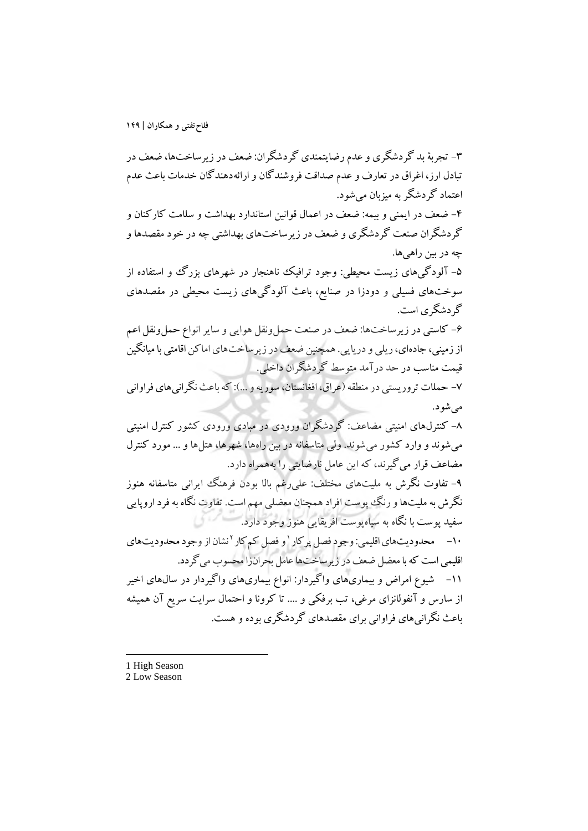3- تجرب ۀبد گردشگر ي و عدم رضایتمند ي گردشگران: ضعف در زیرساختها، ضعف در تبادل ارز، اغراق در تعارف و عدم صداقت فروشندگان و ارائه دهندگان خدمات باعث عدم اعتماد گردشگر به میزبان می شود. 4- ضعف در یا من ی و بیمه: ضعف در اعمال قوانین استاندارد بهداشت و سلامت کارکنان و گردشگران صنعت گردشگري و ضعف در زیرساختهاي بهداشتی چه در خود مقصدها و چه در بین راهیها. ۵- آلودگی،ای زیست محیطی: وجود ترافیک ناهنجار در شهرهای بزرگ و استفاده از سوختهاي فسیلی و دودزا در صنایع، باعث آلودگیهاي زیست محیطی در مقصدهاي گردشگري است. 6- کاستی در زیرساخت،ا ضعف در صنعت حمل ونقل هوایی و سایر انواع حمل ونقل اعم از زمینی، جادهاي، ریلی و دریایی. همچنین ضعف در زیرساختهاي اماکن اقامتی با میانگین قیمت مناسب در حد درآمد متوسط گردشگران داخلی. 7- حملات تروریستی در منطقه (عراق، افغانستان، سوریه و ...): که باعث نگرانیهاي فراوانی می شو د. 8- کنترل يها امن یتی مضاعف: گردشگران ورودي در مبادي ورودي کشور کنترل امنیتی میشوند و وارد کشور میشوند. ولی متاسفانه در بین راهها، شهرها، هتلها و ... مورد کنترل مضاعف قرار میگیرند، که این عامل نارضایتی را بههمراه دارد. ۹- تفاوت نگرش به ملیتهای مختلف: عل<sub>ی</sub>رغم بالا بودن فرهنگ ایرانی متاسفانه هنوز نگرش به ملیتها و رنگ پوست افراد همچنان معضلی مهم است. تفاوت نگاه به فرد اروپایی سفید پوست با نگاه به سیاهپوست افریقایی هنوز وجود دارد. ۱۰ - محدودیتهای اقلیمی: وجود فصل پر کار <sup>۱</sup> و فصل کم کار <sup>۲</sup>نشان از وجود محدودیتهای اقلیمی است که با معضل ضعف در زیرساختها عامل بحرانزا محسوب میگردد. -11 یش وع امراض و بیمار يهاي واگیردار: انواع بیماريهاي واگیردار در سالهاي اخیر از سارس و آنفولانزاي مرغی، تب برفکی و .... تا کرونا و احتمال سرایت سریع آن همیشه باعث نگرانیهاي فراوانی براي مقصدهاي گردشگري بوده و هست.

1 High Season

**.** 

2 Low Season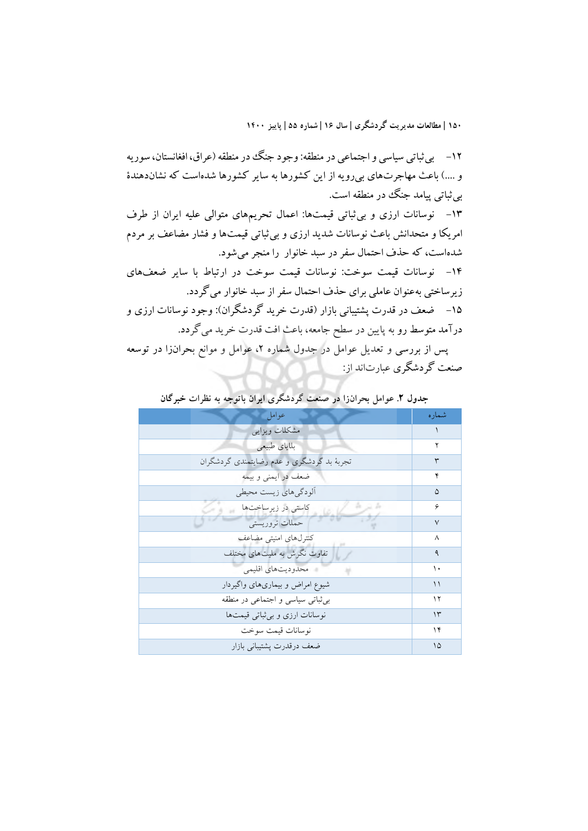-12 یب ثبات یس ی اس یو اجتماع یدر منطقه: وجود جنگ در منطقه (عراق، افغانستان، سوریه و ....) باعث مهاجرتهاي بیرویه از این کشورها به سایر کشورها شده نشاناست که دهندة بیثباتی پیامد جنگ در منطقه است.

۱۳- نوسانات ارزی و بی ثباتی قیمتها: اعمال تحریمهای متوالی علیه ایران از طرف امریکا و متحدانش باعث نوسانات شدید ارزي و بیثباتی قیمتها و فشار مضاعف بر مردم شدهاست، که حذف احتمال سفر در سبد خانوار را منجر میشود.

-14 متیقنوسانات سوخت: نوسانات قیمت سوخت در ارتباط با سایر هاي ضعف زیرساختی بهعنوان عاملی براي حذف احتمال سفر از سبد خانوار میگردد.

-15 ضعف در قدرت پشتیبانی بازار (قدرت خر دی گردشگران): وجود نوسانات ارزي و درآمد متوسط رو به پایین در سطح جامعه، باعث افت قدرت خرید میگردد.

پس از بررسی و تعدیل عوامل در جدول شماره 2 ، عوامل و موانع بحرانزا در توسعه صنعت گردشگري عبارتاند از:

| عوامل                                      | شمار ه   |
|--------------------------------------------|----------|
| مشكلات ويزايي                              |          |
| بلاياي طبيعي                               | ۲        |
| تجربهٔ بد گردشگری و عدم رضایتمندی گردشگران | ٣        |
| ضعف در ايمني و بيمه                        | ۴        |
| آلودگیهای زیست محیطی                       | ۵        |
| $A \supset A$<br>کاستی در زیرساختها        | ۶        |
| حملات تروريستي                             | $\vee$   |
| كنترل هاى امنيتى مضاعف                     | Λ        |
| تفاوت نگرش به ملیتهای مختلف                | ٩        |
| محدوديتهاى اقليمي                          | ۱.       |
| شیوع امراض و بیماریهای واگیردار            | ۱۱       |
| بی ثباتی سیاسی و اجتماعی در منطقه          | ۱۲       |
| نوسانات ارزی و بی ثباتی قیمتها             | $\gamma$ |
| نوسانات قيمت سوخت                          | ۱۴       |
| ضعف درقدرت يشتيباني بازار                  | ۱۵       |

**جدول 2 . عوامل بحرانزا در صنعت گردشگري ایران باتوجه به نظرات خبرگان**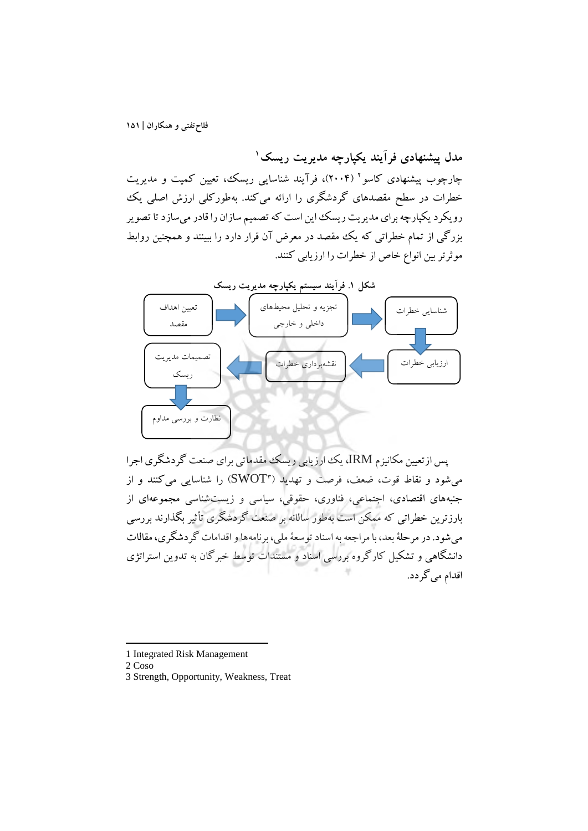**1 مدل پیشنهادي فرآیند یکپارچه مدیریت ریسک** چارچوب پیشنهادی کاسو<sup>۲</sup> (۲۰۰۴)، فرآیند شناسایی ریسک، تعیین کمیت و مدیریت خطرات در سطح مقصدهاي گردشگري را ارائه میکند. بهطورکلی ارزش اصلی یک رویکرد یکپارچه برای مدیریت ریسک این است که تصمیم سازان را قادر میسازد تا تصویر بزرگی از تمام خطراتی که یک مقصد در معرض آن قرار دارد را ببینند و همچنین روابط موثرتر بین انواع خاص از خطرات را ارزیابی کنند.



پس ازتعیین مکانیزم IRM، یک ارزیابی ریسک مقدماتی براي صنعت گردشگري اجرا می شود و نقاط قوت، ضعف، فرصت و تهدید (SWOT۳) را شناسایی می کنند و از جنبههاي اقتصادي، اجتماعی، فناوري، حقوقی، سیاسی و زیستشناسی مجموعهاي از بارزترین خطراتی که ممکن است بهطور سالانه بر صنعت گردشگری تأثیر بگذارند بررسی می شود. در مرحلهٔ بعد، با مراجعه به اسناد توسعهٔ ملی، برنامهها و اقدامات گردشگري، مقالات دانشگاهی و تشکیل کارگروه بررسی اسناد و مستندات توسط خبرگان به تدوین استراتژي اقدام میگردد.

- 1 Integrated Risk Management
- 2 Coso

1

3 Strength, Opportunity, Weakness, Treat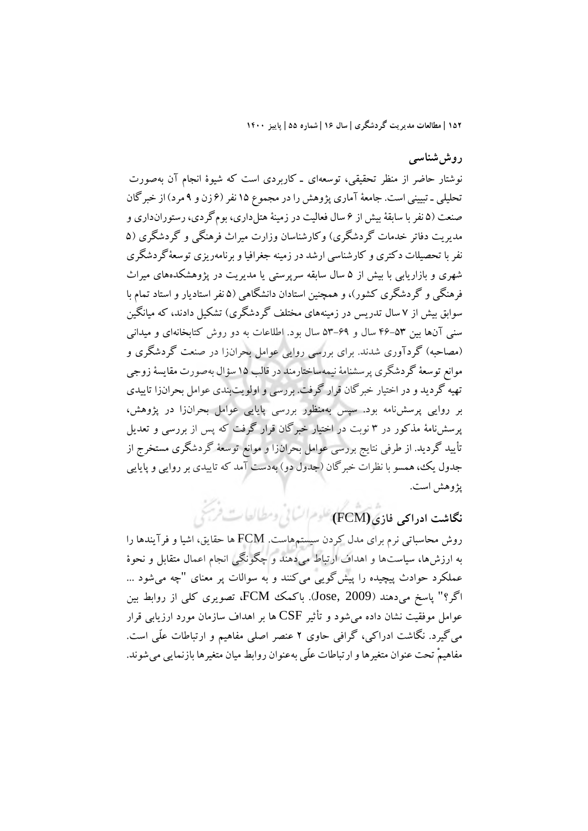**روششناسی**

نوشتار حاضر از منظر تحقیقی، توسعهای ـ کاربردی است که شیوهٔ انجام آن بهصورت تحلیلی ـ تبیینی است . جامعۀ آماري پژوهش را در مجموع 15 نفر ( 6 زن و 9 مرد) از خبرگان 5صنعت ( نفر با سابقۀ بیش از 6 سال فعالیت در زمینۀ هتلداري، بومگردي، رستورانداري و مدیریت دفاتر خدمات گردشگري) وکارشناسان وزارت میراث فرهنگی و گردشگري 5( نفر با تحصیلات دکتري و کارشناسی ارشد در زمینه جغرافیا و برنامهریزي توسعۀگردشگري شهري و بازاریابی با بیش از 5 سال سابقه سرپرستی یا مدیریت در پژوهشکدههاي میراث فرهنگی و گردشگري کشور)، و همچنین استادان دانشگاهی ( 5 نفر استادیار و استاد تمام با سوابق بیش از 7 سال تدریس در زمینههاي مختلف گردشگري) تشکیل دادند، که میانگین سنی آنها بین 46-53 سال و 53-69 سال بود. اطلاعات به دو روش کتابخانهاي و میدانی (مصاحبه) گردآوري شدند. براي بررسی روایی عوامل بحرانزا در صنعت گردشگري و موانع توسعۀ گردشگري پرسشنامۀ نیمهساختارمند در قالب 10 سؤال بهصورت مقايسۀ زوجي تهیه گردید و در اختیار خبرگان قرار گرفت. بررسی و اولویتبندي عوامل بحرانزا تاییدي بر روایی پرسشنامه بود. سپس بهمنظور بررسی پایایی عوامل بحرانزا در پژوهش، پرسش نامهٔ مذکور در ۳ نوبت در اختیار خبرگان قرار گرفت که پس از بررسی و تعدیل تأیید گردید. از طرفی نتایج بررسی عوامل بحرانزا و موانع توسعۀ گردشگری مستخرج از جدول یک، همسو با نظرات خبرگان (جدول دو) بهدست آمد که تاییدي بر روایی و پایایی پژوهش است.

**نگاشت ادراکی فازي(**FCM **(**

روش محاسباتی نرم براي مدل کردن سیستمهاست. FCM ها حقایق، اشیا و فرآیندها را به ارزشها، سیاستها و اهداف ارتباط میدهند و چگونگی انجام اعمال متقابل و نحوة عملکرد حوادث پیچیده را پیش گویی می کنند و به سوالات پر معنای "چه می شود ... اگر؟" پاسخ میدهند (2009 ,Jose(. باکمک FCM ، تصویري کلی از روابط بین عوامل موفقیت نشان داده میشود و تأثیر  $\mathrm{CSF}$  ها بر اهداف سازمان مورد ارزیابی قرار میگیرد. نگاشت ادراکی، گرافی حاوي 2 عنصر اصلی مفاهیم و ارتباطات علّی است. مفاهیمْ تحت عنوان متغیرها و ارتباطات علّی بهعنوان روابط میان متغیرها بازنمایی می شوند.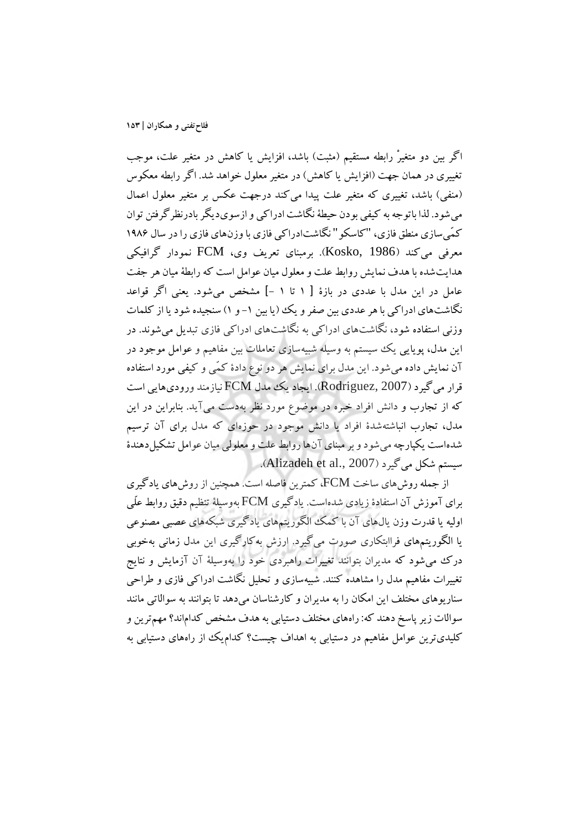اگر بین دو متغیرْ رابطه مستقیم (مثبت) باشد، افزایش یا کاهش در متغیر علت، موجب تغییري در همان جهت (افزایش یا کاهش) در متغیر معلول خواهد شد. اگر رابطه معکوس (منفی) باشد، تغییري که متغیر علت پیدا میکند درجهت عکس بر متغیر معلول اعمال میشود. لذا باتوجه به کیفی بودن حیطۀ نگاشت ادراکی و ازسويدیگر بادرنظرگرفتن توان کمّیسازي منطق فازي، "کاسکو" نگاشتادراکی فازي با وزنهاي فازي را در سال 1986 معرفی میکند (1986 ,Kosko(. برمبناي تعریف وي، FCM نمودار گرافیکی هدایتشده با هدف نمایش روابط علت و معلول میان عوامل است که رابطۀ میان هر جفت عامل در این مدل با عددي در بازة [ 1تا 1 -] مشخص میشود. یعنی اگر قواعد نگاشتهاي ادراکی با هر عددي بین صفر و یک (یا بین 1- و 1) سنجیده شود یا از کلمات وزنی استفاده شود، نگاشتهاي ادراکی به نگاشتهاي ادراکی فازي تبدیل میشوند. در این مدل، پویایی یک سیستم به وسیله شبیهسازي تعاملات بین مفاهیم و عوامل موجود در آن نمایش داده میشود. این مدل براي نمایش هر دو نوع دادة کمّی و کیفی مورد استفاده قرار میگیرد (2007 ,Rodriguez(. ایجاد یک مدل FCM نیازمند وروديهایی است که از تجارب و دانش افراد خبره در موضوع مورد نظر بهدست میآید. بنابراین در این مدل، تجارب انباشتهشدة افراد یا دانش موجود در حوزهاي که مدل براي آن ترسیم شدهاست یکپارچه یم شودو بر مبناي آنهاروابط علت و معلولی میان عوامل تشکیلدهندة سیستم شکل می گیرد (Alizadeh et al., 2007).

از جمله روشهاي ساخت FCM، کمترین فاصله است. همچنین از روشهاي یادگیري برای آموزش آن استفادهٔ زیادی شدهاست. یادگیری FCM بهوسیلهٔ تنظیم دقیق روابط علّی اولیه یا قدرت وزن یال هاي آن با کمک الگوریتمهاي یادگیري شبکههاي عصبی مصنوعی یا الگوریتمهاي فراابتکاري صورت میگیرد. ارزش بهکارگیري این مدل زمانی بهخوبی درک می شود که مدیران بتوانند تغییرات راهبردی خود را بهوسیلهٔ آن آزمایش و نتایج تغییرات مفاهیم مدل را مشاهده کنند. شبیهسازي و تحلیل نگاشت ادراکی فازي و طراحی سناریوهاي مختلف این امکان را به مدیران و کارشناسان میدهد تا بتوانند به سوالاتی مانند سوالات زیر پاسخ دهند که: راههاي مختلف دستیابی به هدف مشخص کداماند؟ مهمترین و کلیديترین عوامل مفاهیم در دستیابی به اهداف چیست؟ کدامیک از راهها ي دستیابی به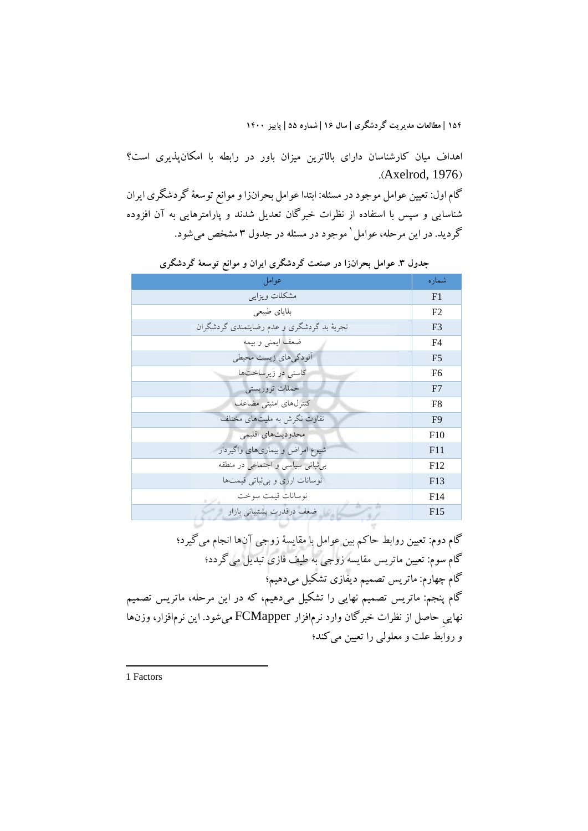اهداف میان کارشناسان داراي بالاترین میزان باور در رابطه با امکانپذیري است؟ .(Axelrod, 1976)

گام اول: تعیین عوامل موجود در مسئله: ابتدا عوامل بحرانزا و موانع توسعهٔ گردشگری ایران شناسایی و سپس با استفاده از نظرات خبرگان تعدیل شدند و پارامترهایی به آن افزوده گردید. در این مرحله، عوامل ' موجود در مسئله در جدول ۳ مشخص می شود.

| عوامل                                      | شماره          |
|--------------------------------------------|----------------|
| مشكلات ويزايى                              | F1             |
| بلاياي طبيعي                               | F <sub>2</sub> |
| تجربهٔ بد گردشگری و عدم رضایتمندی گردشگران | F <sub>3</sub> |
| ضعف ايمنى وبيمه                            | F4             |
| آلودگیهای زیست محیطی                       | F <sub>5</sub> |
| كاستى در زيرساختها                         | F <sub>6</sub> |
| حملات تروريستي                             | F7             |
| كنترل هاى امنيتى مضاعف                     | F8             |
| تفاوت نگرش به ملیتهای مختلف                | F <sub>9</sub> |
| محدوديتهاى اقليمي                          | F10            |
| شیوع امراض و بیماریهای واگیردار            | F11            |
| بی ثباتی سیاسی و اجتماعی در منطقه          | F12            |
| نوسانات ارزی و بی ثباتی قیمتها             | F13            |
| نوسانات قيمت سوخت                          | F14            |
| ضعف درقدرت پشتیبانی بازار                  | F15            |
|                                            |                |

**جدول 3. عوامل بحرانزا در صنعت گردشگري ایران و موانع توسعۀ گردشگري**

گام دوم: تعیین روابط حاکم بین عوامل با مقایسهٔ زوجی آنها انجام میگیرد؛ گام سوم : تعیین ماتریس مقایسه زوجی به طیف فازي تبدیل میگردد؛ گام چهارم: ماتریس تصمیم دیفازی تشکیل میدهیم؛ گام پنجم: ماتریس تصمیم نهایی را تشکیل میدهیم، که در این مرحله، ماتریس تصمیم نهاییِ حاصل از نظرات خبرگان وارد نرمافزار FCMapper میشود. این نرمافزار، وزنها و روابط علت و معلولی را تعیین می کند؛

1 Factors

**.**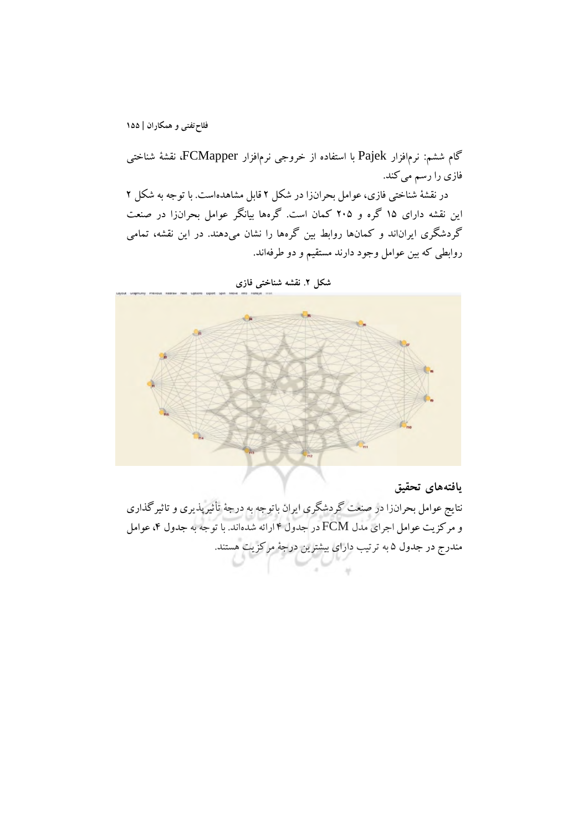**فلاحتفتی و همکاران | 155** 

گام ششم: نرمافزار Pajek با استفاده از خروجی نرمافزار FCMapper ، نقش ۀ شناختی فازي را رسم میکند.

در نقشهٔ شناختی فازی، عوامل بحرانزا در شکل ۲ قابل مشاهدهاست. با توجه به شکل ۲ این نقشه دارای ۱۵ گره و ۲۰۵ کمان است. گرهها بیانگر عوامل بحرانزا در صنعت گردشگري ایراناند و کمانها روابط بین گرهها را نشان میدهند. در این نقشه ، تمامی روابطی که بین عوامل وجود دارند مستقیم و دو طرفهاند .



**شکل 2. نقشه شناختی فازي**

**یافتههاي تحقیق**

نتایج عوامل بحرانزا در صنعت گردشگری ایران باتوجه به درجهٔ تأثیرپذیری و تاثیرگذاری و مرکزیت عوامل اجراي مدل FCM در جدول 4 با توجه اند. ارائه شده به جدول 4، عوامل مندرج در جدول ۵ به ترتیب دارای بیشترین درجهٔ مرکزیت هستند.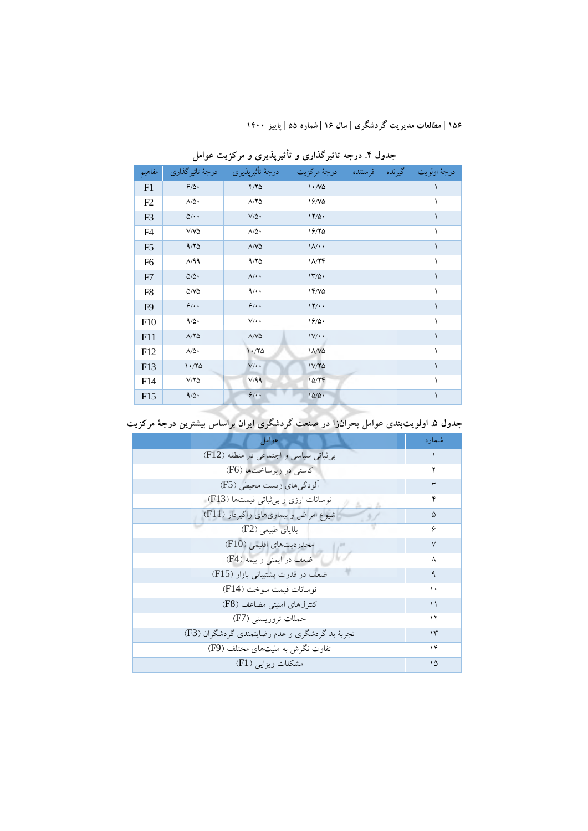| أمفاهيم        |                          | درجهٔ اولویت گیرنده فرستنده درجهٔ مرکزیت درجهٔ تأثیرپذیری درجهٔ تاثیرگذاری |                      |  |   |
|----------------|--------------------------|----------------------------------------------------------------------------|----------------------|--|---|
| F1             | 9/0.                     | Y/Y                                                                        | $\cdot$ No           |  |   |
| F2             | $\Lambda/\Delta$         | $\lambda/\Upsilon\Delta$                                                   | 19/10                |  |   |
| F <sub>3</sub> | $\Delta/\cdot \cdot$     | $V/\Delta$                                                                 | $17/\Delta$          |  |   |
| F4             | $V/V\Delta$              | $\Lambda/\Delta$                                                           | 18/10                |  |   |
| F <sub>5</sub> | 9/80                     | $\land N\Delta$                                                            | $\mathcal{N}$ .      |  |   |
| F <sub>6</sub> | $\Lambda$ /99            | 9/80                                                                       | 18/14                |  | ١ |
| F7             | $\Delta/\Delta$ .        | $\Lambda/\cdot \cdot$                                                      | 17/0.                |  |   |
| F <sub>8</sub> | 0/N                      | $\mathcal{A}/\mathcal{A}$                                                  | $1F/N\Delta$         |  |   |
| F <sub>9</sub> | $9/$ .                   | $9/$ .                                                                     | 17/44                |  | ١ |
| F10            | 9/0                      | $V/\cdot$                                                                  | 19/0.                |  | ١ |
| F11            | $\Lambda/\Upsilon\Delta$ | $\land N\&$                                                                | $\mathcal{W}/\cdots$ |  |   |
| F12            | $\Lambda/\Delta$ .       | 1.70                                                                       | $1/\sqrt{0}$         |  | ١ |
| F13            | 1.70                     | $V/\cdot$                                                                  | 1V/Y <sub>0</sub>    |  |   |
| F14            | $V/Y$ $\Delta$           | V/99                                                                       | 10/79                |  |   |
| F15            | 9/0.                     | $9/$ .                                                                     | 10/0.                |  |   |

**جدول 4. درجه تاثیرگذاري و تأثیرپذ ری ي و مرکزیت عوامل**

| جدول ۵. اولویتبندی عوامل بحرانزا در صنعت گردشگری ایران براساس بیشترین درجهٔ مرکزیت |  |
|------------------------------------------------------------------------------------|--|
|------------------------------------------------------------------------------------|--|

| عوامل                                           | شمار ه   |
|-------------------------------------------------|----------|
| بی ثباتی سیاسی و اجتماعی در منطقه (F12)         |          |
| کاستی در زیرساختها (F6)                         | ۲        |
| آلودگیهای زیست محیطی (F5)                       | ٣        |
| نوسانات ارزی و بی ثباتی قیمتها (F13)            | ۴        |
| شیوع امراض و بیماریهای واگیردار (F11)           | ۵        |
| بلاياي طبيعي (F2)                               | ۶        |
| محدوديتهاى اقليمي (F10)                         | $\vee$   |
| ضعف در ايمني و بيمه (F4)                        | ٨        |
| ضعف در قدرت پشتیبانی بازار (F15)                | ٩        |
| نوسانات قيمت سوخت (F14)                         | ١.       |
| كنترل هاى امنيتى مضاعف (F8)                     | ۱۱       |
| حملات تروریستی (F7)                             | ۱۲       |
| تجربهٔ بد گردشگری و عدم رضایتمندی گردشگران (F3) | $\gamma$ |
| تفاوت نگرش به ملیتهای مختلف (F9)                | ۱۴       |
| مشكلات ويزايي (F1)                              | ۱۵       |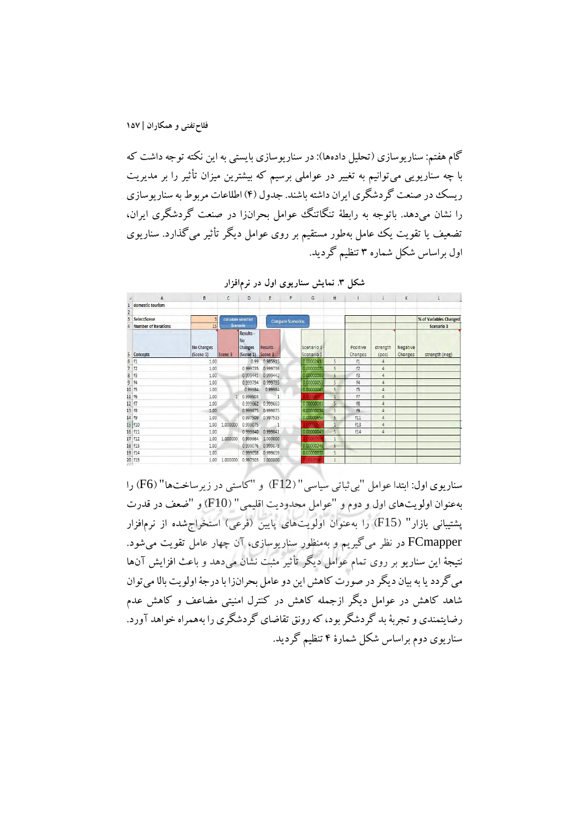گام هفتم: سناریوسازي (تحلیل دادهها): در سناریوسازي بایستی به این نکته توجه داشت که با چه سناریویی میتوانیم به تغییر در عواملی برسیم که بیشترین میزان تأ ریث را بر مدیریت ریسک در صنعت گردشگري ایران داشته باشند. جدول (۴) اطلاعات مربوط به سناریوسازي را نشان می،دهد. باتوجه به رابطهٔ تنگاتنگ عوامل بحرانزا در صنعت گردشگري ایران، تضعیف یا تقویت یک عامل بهطور مستقیم بر روی عوامل دیگر تأثیر می گذارد. سناریوی اول براساس شکل شماره 3 تنظیم گردید.

|                | $\overline{A}$              | B                              | .c       | D                                              | E                    | F                        | G                        | H              |                     |                   | $\mathsf{K}$               |                        |
|----------------|-----------------------------|--------------------------------|----------|------------------------------------------------|----------------------|--------------------------|--------------------------|----------------|---------------------|-------------------|----------------------------|------------------------|
|                | domestic tourism            |                                |          |                                                |                      |                          |                          |                |                     |                   |                            |                        |
| $\overline{2}$ |                             |                                |          |                                                |                      |                          |                          |                |                     |                   |                            |                        |
|                | SelectScene                 | $\overline{3}$                 |          | calculate selected                             |                      | <b>Compare Scenarios</b> |                          |                |                     |                   |                            | % of Variables Changed |
|                | <b>Number of Iterations</b> | 15                             |          | <b>Scenario</b>                                |                      |                          |                          |                |                     |                   |                            | Scenario 3             |
| 5              | <b>Concepts</b>             | <b>No Changes</b><br>(Scene 1) | Scene 3  | Results -<br>No<br><b>Changes</b><br>(Scene 1) | Results -<br>Scene 3 |                          | Scenario 3<br>Scenario 1 |                | Positive<br>Changes | strength<br>(pos) | <b>Negative</b><br>Changes | strength (neg)         |
| 6              | f1                          | 1.00                           |          | 0.99                                           | 0.985915             |                          | 0.00002430               | 5              | f1                  | 4                 |                            |                        |
| $\overline{7}$ | f2                          | 1.00                           |          | 0.999735                                       | 0.999736             |                          | 0.00000070               | $\overline{5}$ | f2                  | $\Delta$          |                            |                        |
| $\bf{8}$       | f3                          | 1.00                           |          | 0.999441                                       | 0.999442             |                          | 0.00000089               | 5              | f3                  | $\Delta$          |                            |                        |
| $\overline{9}$ | f4                          | 1.00                           |          | 0.999794                                       | 0.999795             |                          | 0.00000055               | 5              | f4                  | $\Delta$          |                            |                        |
| 10             | f <sub>5</sub>              | 1.00                           |          | 0.99984                                        | 0.99984              |                          | 0.00000043               | 5              | f5                  | 4                 |                            |                        |
| 11             | f6                          | 1.00                           | 1        | 0.999903                                       |                      |                          | 0000370                  | $\overline{1}$ | f7                  | 4                 |                            |                        |
| 12             | f7                          | 1.00                           |          | 0.999662                                       | 0.999663             |                          | 0.00000083               | 5              | f8                  | 4                 |                            |                        |
| 13             | f8                          | 1.00                           |          | 0.999875                                       | 0.999875             |                          | 0.00000034               | 5              | f9                  | 4                 |                            |                        |
| 14             | f9                          | 1.00                           |          | 0.997509                                       | 0.997515             |                          | 0.00000656               | 5              | f11                 | 4                 |                            |                        |
| 15             | f10                         | 1.00                           | 1.000000 | 0.999075                                       |                      |                          | 0009250                  |                | f13                 | 4                 |                            |                        |
| 16             | f11                         | 1.00                           |          | 0.999840                                       | 0.999841             |                          | 0.00000043               | 5              | f14                 | 4                 |                            |                        |
| 17             | f12                         | 1.00                           | 1.000000 | 0.999964                                       | 1.000000             |                          | 0000359                  |                |                     |                   |                            |                        |
| 18             | f13                         | 1.00                           |          | 0.999076                                       | 0.999078             |                          | 0.00000248               | 5              |                     |                   |                            |                        |
| 19             | f14                         | 1.00                           |          | 0.999658                                       | 0.999659             |                          | 0.00000070               | 5              |                     |                   |                            |                        |
| 20             | f15                         | 1.00                           | 1.000000 | 0.997503                                       | 1.000000             |                          | 00249661                 |                |                     |                   |                            |                        |

**شکل .3 نمایش سناریوي اول در نرمافزار**

سناریوی اول: ابتدا عوامل "بی ثباتی سیاسی" ( F12) و "کاستی در زیرساختها" (F6) را به عنوان اولویتهای اول و دوم و "عوامل محدودیت اقلیمی" (F10) و "ضعف در قدرت پشتیبانی بازار" ( 15F (را بهعنوان اولویتهاي پایین (فرعی) استخراجشده از نرمافزار FCmapper در نظر میگیریم منظور سناریو به وسازي ، آن چهار عامل تقویت میشود. نتیجهٔ این سناریو بر روی تمام عوامل دیگر تأثیر مثبت نشان میدهد و باعث افزایش آنها می گردد یا به بیان دیگر در صورت کاهش این دو عامل بحرانزا با درجهٔ اولویت بالا می توان شاهد کاهش در عوامل دیگر ازجمله کاهش در کنترل امنیتی مضاعف و کاهش عدم رضایتمندي و تجربۀ بد گردشگر بود، که رونق تقاضاي گردشگري را بههمراه خواهد آورد. سناریوي دوم براساس شکل شمار 4 ة تنظیم گردید.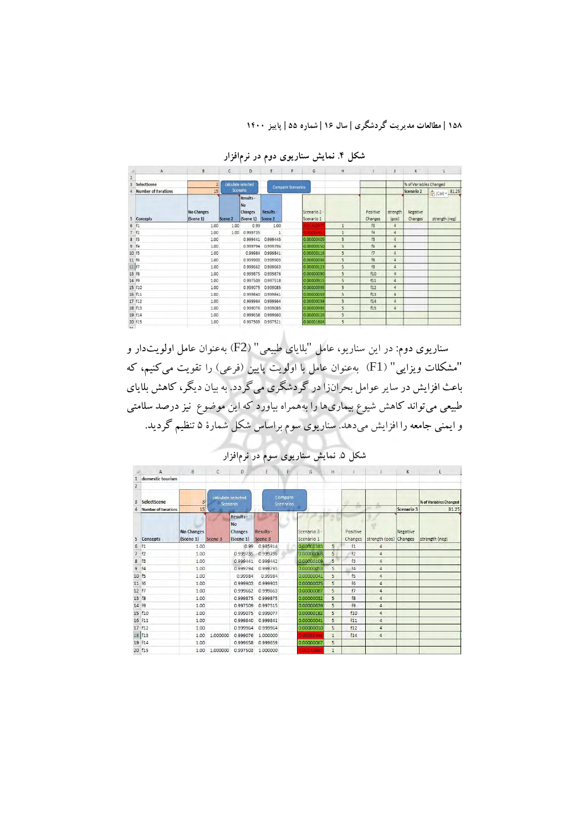|                                  | $\overline{A}$              | B                              | $\mathsf{C}$ | D                                        | Ε                        | F.<br>G                    | н              |                     | $\frac{1}{2}$     | $\kappa$               | τ                |
|----------------------------------|-----------------------------|--------------------------------|--------------|------------------------------------------|--------------------------|----------------------------|----------------|---------------------|-------------------|------------------------|------------------|
| $\overline{2}$<br>$\overline{3}$ | SelectScene                 |                                |              | calculate selected                       | <b>Compare Scenarios</b> |                            |                |                     |                   | % of Variables Changed |                  |
| 4                                | <b>Number of Iterations</b> | 15                             | Scenario     | Results -                                |                          |                            |                |                     |                   | Scenario 2             | 6 (Ctrl) - 81.25 |
| 5                                | Concepts                    | <b>No Changes</b><br>(Scene 1) | Scene 2      | <b>No</b><br><b>Changes</b><br>(Scene 1) | Results -<br>Scene 2     | Scenario 2 -<br>Scenario 1 |                | Positive<br>Changes | strength<br>(pos) | Negative<br>Changes    | strength (neg)   |
| 6                                | $f_1$                       | 1.00                           | 1.00         | 0.99                                     | 1.00                     | 0141097                    | $\overline{1}$ | f3                  | 4                 |                        |                  |
| $\overline{7}$                   | f2                          | 1.00                           | 1.00         | 0.999735                                 |                          | <b>PERTIES</b>             | 1              | f4                  | 4                 |                        |                  |
| 8                                | f3                          | 1.00                           |              | 0.999441                                 | 0.999445                 | 0.00000405                 | 5              | f <sub>5</sub>      | 4                 |                        |                  |
| 9                                | f4                          | 1.00                           |              | 0.999794                                 | 0.999796                 | 0.00000150                 | 5              | f6                  | 4                 |                        |                  |
| 10                               | f5                          | 1.00                           |              | 0.99984                                  | 0.999841                 | 0.00000116                 | 5              | f7                  | 4                 |                        |                  |
| 11                               | f6                          | 1.00                           |              | 0.999903                                 | 0.999903                 | 0.00000036                 | 5              | f8                  | 4                 |                        |                  |
|                                  | $12$ f7                     | 1.00                           |              | 0.999662                                 | 0.999663                 | 0.00000123                 | 5              | f9                  | 4                 |                        |                  |
| 13                               | f8                          | 1.00                           |              | 0.999875                                 | 0.999876                 | 0.00000090                 | 5              | f10                 | $\frac{4}{2}$     |                        |                  |
|                                  | 14 f9                       | 1.00                           |              | 0.997509                                 | 0.997518                 | 0.00000915                 | 5              | f11                 | 4                 |                        |                  |
|                                  | 15 f10                      | 1.00                           |              | 0.999075                                 | 0.999085                 | 0.00000993                 | 5              | f12                 | 4                 |                        |                  |
|                                  | 16 f11                      | 1.00                           |              | 0.999840                                 | 0.999841                 | 0.00000059                 | 5              | f13                 | 4                 |                        |                  |
| 17                               | f12                         | 1.00                           |              | 0.999964                                 | 0.999964                 | 0.00000039                 | 5              | f14                 | 4 <sup>°</sup>    |                        |                  |
|                                  | 18 f13                      | 1.00                           |              | 0.999076                                 | 0.999085                 | 0.00000993                 | 5              | f15                 | 4 <sup>1</sup>    |                        |                  |
|                                  | 19 f14                      | 1.00                           |              | 0.999658                                 | 0.999660                 | 0.00000126                 | 5              |                     |                   |                        |                  |
|                                  | 20 f15                      | 1.00                           |              | 0.997503                                 | 0.997521                 | 0.00001804                 | 5              |                     |                   |                        |                  |

**شکل .4 نمایش سناریوي دوم در نرمافزار**

سناریو ي دوم: در این سناریو، عامل " بلایاي طبیعی" ( 2F (بهعنوان عامل اولویتدار و "مشکلات ویزایی" (F1) بهعنوان عامل با اولویت پایین (فرعی) را تقویت میکنیم، که باعث افزایش در سایر عوامل بحرانزا در گردشگري میگردد . به بیان دیگر ، کاهش بلایاي طبیعی میتواند کاهش شیوع بیماریها را بههمراه بیاورد که این موضوع نیز درصد سلامتی و ایمنی جامعه را افز ایش میدهد. سناریوي سوم براساس شکل شمار 5 ة تنظیم گردید.

|                | A                           | B                              | $\mathsf{C}$                   | D                                              | E                    | F                           | G                          | H               | $\mathbf{1}$        | $\mathbf{1}$           | K          |                        |  |
|----------------|-----------------------------|--------------------------------|--------------------------------|------------------------------------------------|----------------------|-----------------------------|----------------------------|-----------------|---------------------|------------------------|------------|------------------------|--|
| 1              | domestic tourism            |                                |                                |                                                |                      |                             |                            |                 |                     |                        |            |                        |  |
| $\overline{2}$ |                             |                                |                                |                                                |                      |                             |                            |                 |                     |                        |            |                        |  |
| 3              | SelectScene                 | 3                              | calculate selected<br>Scenario |                                                |                      | Compare<br><b>Scenarios</b> |                            |                 |                     |                        |            | % of Variables Changed |  |
| 4              | <b>Number of Iterations</b> | 15                             |                                |                                                |                      |                             |                            |                 |                     |                        | Scenario 3 | 81.25                  |  |
| 5              | Concepts                    | <b>No Changes</b><br>(Scene 1) | Scene 3                        | Results -<br><b>No</b><br>Changes<br>(Scene 1) | Results -<br>Scene 3 |                             | Scenario 3 -<br>Scenario 1 |                 | Positive<br>Changes | strength (pos) Changes | Negative   | strength (neg)         |  |
| $6\phantom{1}$ | f1                          | 1.00                           |                                | 0.99                                           | 0.985914             |                             | 0.00002383                 | 5 <sup>1</sup>  | f1                  | 4                      |            |                        |  |
| 7              | f2                          | 1.00                           |                                | 0.999735                                       | 0.999736             |                             | 0.00000068                 | $\overline{5}$  | f2                  | 4                      |            |                        |  |
| 8              | f3                          | 1.00                           |                                | 0.999441                                       | 0.999442             |                             | 0.00000109                 | 5               | f3                  | 4                      |            |                        |  |
| $\overline{9}$ | f4                          | 1.00                           |                                | 0.999794                                       | 0.999795             |                             | 0.00000053                 | 5               | f4                  | 4                      |            |                        |  |
| 10             | f5                          | 1.00                           |                                | 0.99984                                        | 0.99984              |                             | 0.00000041                 | 5               | f <sub>5</sub>      | 4                      |            |                        |  |
| 11             | f6                          | 1.00                           |                                | 0.999903                                       | 0.999903             |                             | 0.00000025                 | 5               | f6                  | 4                      |            |                        |  |
| 12             | f7                          | 1.00                           |                                | 0.999662                                       | 0.999663             |                             | 0.00000087                 | 5               | f7                  | 4                      |            |                        |  |
| 13             | f8                          | 1.00                           |                                | 0.999875                                       | 0.999875             |                             | 0.00000032                 | 5               | f8                  | 4                      |            |                        |  |
| 14             | f9                          | 1.00                           |                                | 0.997509                                       | 0.997515             |                             | 0.00000639                 | 5               | f9                  | 4                      |            |                        |  |
| 15             | f10                         | 1.00                           |                                | 0.999075                                       | 0.999077             |                             | 0.00000182                 | 5               | f10                 | 4                      |            |                        |  |
| 16             | f11                         | 1.00                           |                                | 0.999840                                       | 0.999841             |                             | 0.00000041                 | $5\overline{a}$ | f11                 | 4                      |            |                        |  |
| 17             | f12                         | 1.00                           |                                | 0.999964                                       | 0.999964             |                             | 0.00000010                 | 5               | f12                 | 4                      |            |                        |  |
| 18             | f13                         | 1.00                           | 1,000000                       | 0.999076                                       | 1.000000             |                             | 0.00092446                 | $\mathbf{1}$    | f14                 | $\overline{4}$         |            |                        |  |
| 19             | f14                         | 1.00                           |                                | 0.999658                                       | 0.999659             |                             | 0.00000067                 | 5               |                     |                        |            |                        |  |
|                | 20 f15                      | 1.00                           | 1,000000                       | 0.997503                                       | 1,000000             |                             | 0.00249565                 | $\mathbf{1}$    |                     |                        |            |                        |  |

**شکل .5 نمایش سناریوي سوم در نرمافزار**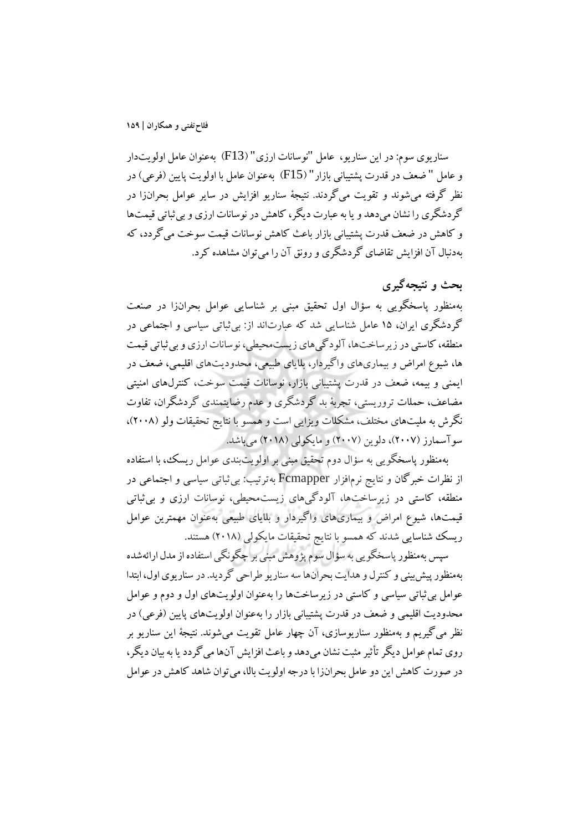سناریوي سوم: در این سناریو، عامل "نوسانات ارزي" ( 13F (بهعنوان عامل اولویتدار وعامل " ضعف درقدرت پشتیبانی بازار" ( 15F (بهعنوان عامل با اولویت پایین ( فرعی) در نظر گرفته می شوند و تقویت می گردند. نتیجهٔ سناریو افزایش در سایر عوامل بحرانزا در گردشگري را نشان میدهد و یا به عبارت دیگر، کاهش در نوسانات ارزي و بی ثباتی قیمتها و کاهش در ضعف قدرت پشتیبانی بازار باعث کاهش نوسانات قیمت سوخت میگردد ، که بهدنبال آن افزایش تقاضاي گردشگري و رونق آن را میتوان مشاهده کرد.

# **بحث و نتیجهگیري**

بهمنظور پاسخگویی به سؤال اول تحقیق مبنی بر شناسایی عوامل بحرانزا در صنعت گردشگری ایران، ۱۵ عامل شناسایی شد که عبارتاند از: بی ثباتی سیاسی و اجتماعی در منطقه، کاستی در زيرساخت،ا، آلودگي های زيست محيطي، نوسانات ارزي و بی ثباتی قيمت ها، شیوع امراض و بیماریهای واگیردار، بلایای طبیعی، محدودیتهای اقلیمی، ضعف در ایمنی و بیمه، ضعف در قدرت پشتیبانی بازار، نوسانات قیمت سوخت، کنترلهای امنیتی مضاعف، حملات تروریستی، تجربهٔ بد گردشگری و عدم رضایتمندی گردشگران، تفاوت نگرش به ملیتهای مختلف، مشکلات ویزایی است و همسو با نتایج تحقیقات ولو (٢٠٠٨)، سوآسمارز (2007)، دلوین (2007) و مایکولی (2018) میباشد.

بهمنظور پاسخگویی به سؤال دوم تحقیق مبنی بر اولویتبندي عوامل ریسک، با استفاده از نظرات خبرگان و نتایج نرمافزار Fcmapper بهترتیب: بی ثباتی سیاسی و اجتماعی در منطقه، کاستی در زیرساختها، آلودگی های زیست محیطی، نوسانات ارزی و بی ثباتی قیمتها، شیوع امراض و بیماریهای واگیردار و بلایای طبیعی بهعنوان مهمترین عوامل ریسک شناسایی شدند که همسو با نتایج تحقیقات مایکولی (2018) هستند.

سپس بهمنظور پاسخگویی به سؤال سوم پژوهشمبنی بر چگونگی استفاده از مدل ارائهشده بهمنظور پیشبینی و کنترل و هدایت بحرانها سه سناریو طراحی گردید. در سناریوي اول، ابتدا عوامل بیثباتی سیاسی و کاستی در زیرساختها را بهعنوان اولویتهاي اول و دوم و عوامل محدودیت اقلیمی و ضعف در قدرت پشتیبانی بازار را بهعنوان اولویتهاي پایین (فرعی) در نظر می گیریم و بهمنظور سناریوسازی، آن چهار عامل تقویت می شوند. نتیجهٔ این سناریو بر روی تمام عوامل دیگر تأثیر مثبت نشان میدهد و باعث افزایش آنها می گردد یا به بیان دیگر، در صورت کاهش این دو عامل بحرانزا با درجه اولویت بالا ، میتوان شاهد کاهش در عوامل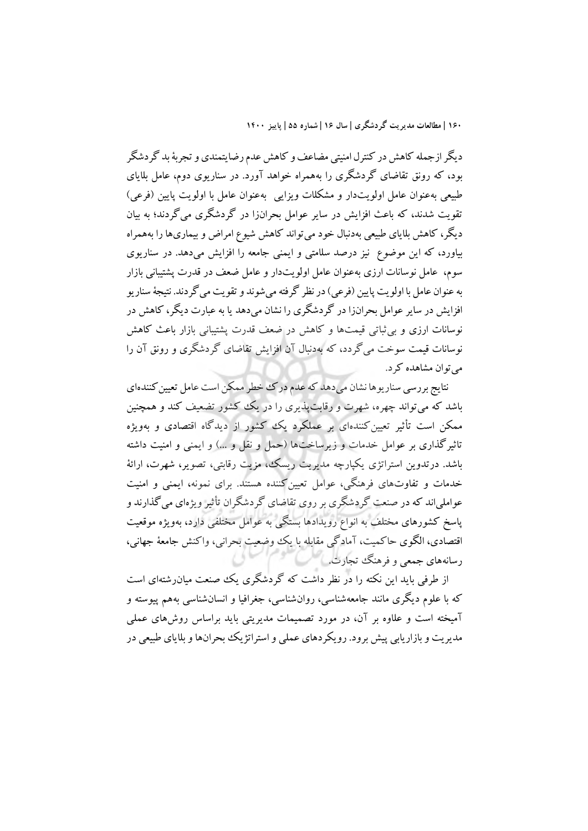دیگر ازجمله کاهش در کنترل امنیتی مضاعف و کاهش عدم رضایتمندی و تجربهٔ بد گردشگر بود، که رونق تقاضای گردشگری را بههمراه خواهد آورد. در سناریوی دوم، عامل بلایای طبیعی بهعنوان عامل اولویتدار و مشکلات ویزایی بهعنوان عامل با اولویت پایین (فرعی) تقویت شدند، که باعث افزایش در سایر عوامل بحرانزا در گردشگری میگردند؛ به بیان دیگر، کاهش بلایای طبیعی بهدنبال خود می تواند کاهش شیوع امراض و بیماریها را بههمراه بیاورد، که این موضوع نیز درصد سلامتی و ایمنی جامعه را افزایش میدهد. در سناریوی سوم، عامل نوسانات ارزی بهعنوان عامل اولویتدار و عامل ضعف در قدرت پشتیبانی بازار به عنوان عامل با اولویت پایین (فرعی) در نظر گرفته میشوند و تقویت میگردند. نتیجۀ سناریو افزایش در سایر عوامل بحرانزا در گردشگري را نشان میدهد یا به عبارت دیگر ، کاهش در نوسانات ارزي و بیثباتی قیمتها و کاهش در ضعف قدرت پشتیبانی بازار باعث کاهش نوسانات قیمت سوخت میگردد ، که بهدنبال آن افزایش تقاضاي گردشگري و رونق آن را میتوان مشاهده کرد.

نتایج بررسی سناریوها نشان میدهد که عدم درك خطر ممکن است عامل تعیین کنندهای باشد که میتواند چهره، شهرت و رقابتپذیري را در یک کشور تضعیف کند و همچنین ممکن است تأثیر تعیین کنندهای بر عملکرد یک کشور از دیدگاه اقتصادی و بهویژه تاثیرگذاري بر عوامل خدمات و زیرساختها (حمل و نقل و ...) و ایمنی و امنیت داشته باشد. درتدوین استراتژی یکپارچه مدیریت ریسک، مزیت رقابتی، تصویر، شهرت، ارائهٔ خدمات و تفاوتهای فرهنگی، عوامل تعیین کننده هستند. برای نمونه، ایمنی و امنیت عواملیاند که در صنعت گردشگري بر روي تقاضاي گردشگران تأثیر ویژهاي می گذارند و پاسخ کشورهاي مختلف به انواع رویدادها بستگی به عوامل مختلفی دارد، بهویژه موقعیت اقتصادی، الگوی حاکمیت، آمادگی مقابله با یک وضعیت بحرانی، واکنش جامعهٔ جهانی، رسانههاي جمعی و فرهنگ تجارت.

از طرفی باید این نکته را در نظر داشت که گردشگري یک صنعت میانرشتهاي است که با علوم دیگري مانند جامعهشناسی، روانشناسی، جغرافیا و انسانشناسی بههم پیوسته و آمیخته است و علاوه بر آن، در مورد تصمیمات مدیریتی باید براساس روشهاي عملی مدیریت و بازاریابی پیش برود.رویکردهاي عملی و استراتژیک بحران ها و بلایاي طبیعی در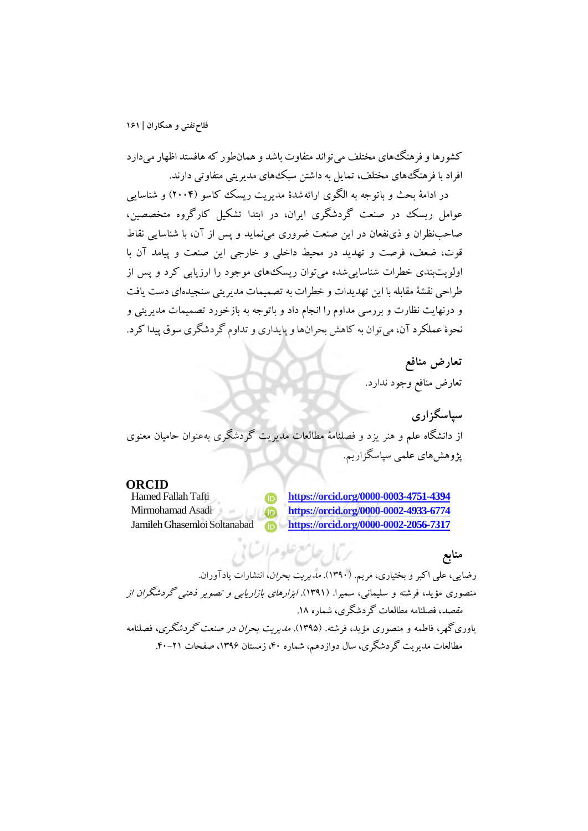کشورها و فرهنگهاي مختلف میتواند متفاوت باشد و همانطور که هافستد اظهار میدارد افراد با فرهنگهاي مختلف، تمایل به داشتن سبکهاي مدیریتی متفاوتی دارند.

در ادامهٔ بحث و باتوجه به الگوی ارائهشدهٔ مدیریت ریسک کاسو (۲۰۰۴) و شناسایی عوامل ریسک در صنعت گردشگري ایران، در ابتدا تشکیل کارگروه متخصصین، صاحبنظران و ذينفعان در این صنعت ضروري مینماید و پس از آن، با شناسایی نقاط قوت، ضعف، فرصت و تهدید در محیط داخلی و خارجی این صنعت و پیامد آن با اولویتبندي خطرات شناساییشده میتوان ریسکهاي موجود را ارزیابی کرد و پس از طراحی نقشهٔ مقابله با این تهدیدات و خطرات به تصمیمات مدیریتی سنجیدهای دست یافت و درنهایت نظارت و بررسی مداوم را انجام داد و باتوجه به بازخورد تصمیمات مدیریتی و نحو ةعملکرد آن، میتوان به کاهش بحرانها و پایداري و تداوم گردشگري سوق پیدا کرد.

> **تعارض منافع** تعارض منافع وجود ندارد.

**سپاسگزاري** از دانشگاه علم و هنر یزد و فصلنامهٔ مطالعات مدیریت گردشگری بهعنوان حامیان معنوی پژوهشهاي علمی سپاسگزاریم.

**ORCID**<br>Hamed Fallah Tafti https://orcid.org/0000-0003-4751-4394 Mirmohamad Asadi **https://orcid.org/0000-0002-4933-6774** Jamileh Ghasemloi Soltanabad **https://orcid.org/0000-0002-2056-7317**

رمال جامع علوم السالي **منابع** رضایی، علی اکبر و بختیاري، مریم. ( 1390). مدیریت بحران ، انتشارات یادآوران. منصوری مؤید، فرشته و سلیمانی، سمیرا. (۱۳۹۱). *ابزارهای بازاریابی و تصویر ذهنی گردشگران از* م*قصد*، فصلنامه مطالعات گردشگری، شماره ۱۸. یاوريگهر، فاطمه و منصوري مؤید، فرشته. (1395). مدیریت بحران در صنعت گردشگري، فصلنامه مطالعات مدیریت گردشگري، سال دوازدهم، شماره 40 ، زمستان 1396 صفحات ، 40-21 .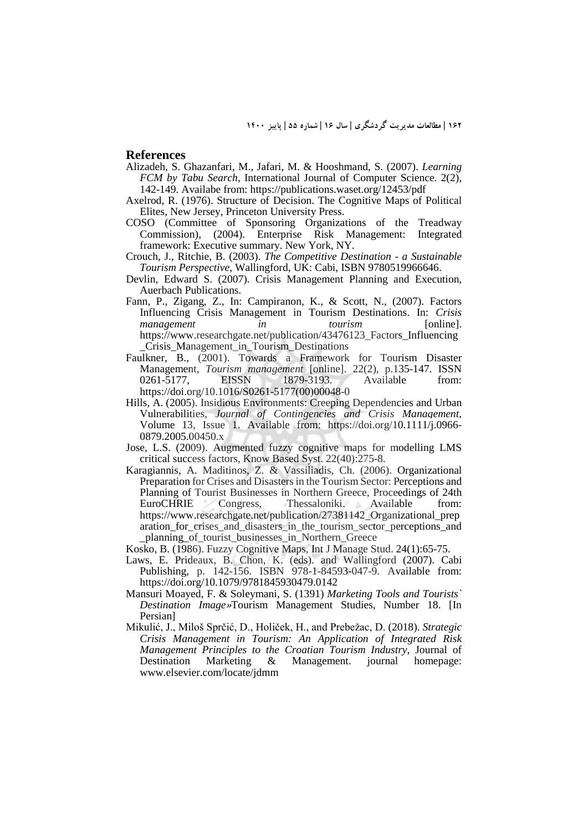### **References**

- Alizadeh, S. Ghazanfari, M., Jafari, M. & Hooshmand, S. (2007). *Learning FCM by Tabu Search*, International Journal of Computer Science. 2(2), 142-149. Availabe from: https://publications.waset.org/12453/pdf
- Axelrod, R. (1976). Structure of Decision. The Cognitive Maps of Political Elites, New Jersey, Princeton University Press.
- COSO (Committee of Sponsoring Organizations of the Treadway Commission), (2004). Enterprise Risk Management: Integrated framework: Executive summary. New York, NY.
- Crouch, J., Ritchie, B. (2003). *The Competitive Destination a Sustainable Tourism Perspective*, Wallingford, UK: Cabi, ISBN 9780519966646.
- Devlin, Edward S. (2007). Crisis Management Planning and Execution, Auerbach Publications.
- Fann, P., Zigang, Z., In: Campiranon, K., & Scott, N., (2007). Factors Influencing Crisis Management in Tourism Destinations. In: *Crisis management in tourism* https://www.researchgate.net/publication/43476123\_Factors\_Influencing \_Crisis\_Management\_in\_Tourism\_Destinations
- Faulkner, B., (2001). Towards a Framework for Tourism Disaster Management, *Tourism management* [online]. 22(2), p.135-147. ISSN 0261-5177, EISSN 1879-3193. Available from: https://doi.org/10.1016/S0261-5177(00)00048-0
- Hills, A. (2005). Insidious Environments: Creeping Dependencies and Urban Vulnerabilities, *Journal of Contingencies and Crisis Management*, Volume 13, Issue 1. Available from: https://doi.org/10.1111/j.0966- 0879.2005.00450.x
- Jose, L.S. (2009). Augmented fuzzy cognitive maps for modelling LMS critical success factors, Know Based Syst. 22(40):275-8.
- Karagiannis, A. Maditinos, Z. & Vassiliadis, Ch. (2006). Organizational Preparation for Crises and Disasters in the Tourism Sector: Perceptions and Planning of Tourist Businesses in Northern Greece, Proceedings of 24th<br>EuroCHRIE Congress, Thessaloniki. Available from: Thessaloniki. Available from: https://www.researchgate.net/publication/27381142 Organizational prep aration\_for\_crises\_and\_disasters\_in\_the\_tourism\_sector\_perceptions\_and \_planning\_of\_tourist\_businesses\_in\_Northern\_Greece
- Kosko, B. (1986). Fuzzy Cognitive Maps, Int J Manage Stud. 24(1):65-75.
- Laws, E. Prideaux, B. Chon, K. (eds). and Wallingford (2007). Cabi Publishing, p. 142-156. ISBN 978-1-84593-047-9. Available from: https://doi.org/10.1079/9781845930479.0142
- Mansuri Moayed, F. & Soleymani, S. (1391) *Marketing Tools and Tourists` Destination Image*»Tourism Management Studies, Number 18. [In Persian]
- Mikulić, J., Miloš Sprčić, D., Holiček, H., and Prebežac, D. (2018). *Strategic Crisis Management in Tourism: An Application of Integrated Risk Management Principles to the Croatian Tourism Industry,* Journal of Destination Marketing & Management. journal homepage: www.elsevier.com/locate/jdmm